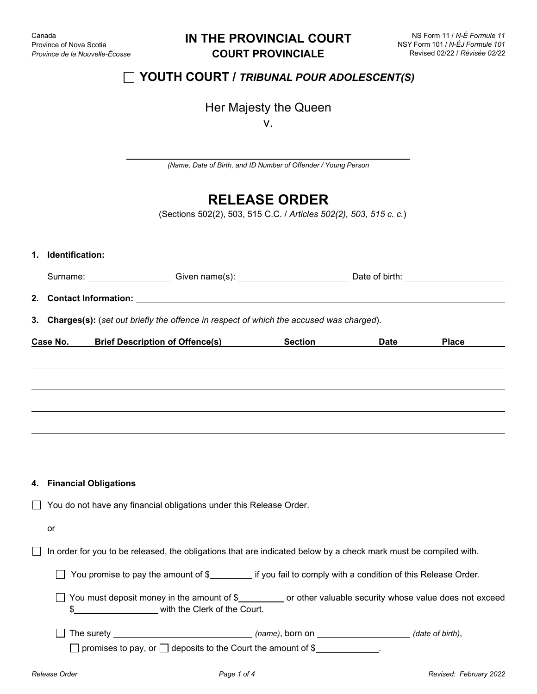# **IN THE PROVINCIAL COURT COURT PROVINCIALE**

# **YOUTH COURT /** *TRIBUNAL POUR ADOLESCENT(S)*

# Her Majesty the Queen

v.

*(Name, Date of Birth, and ID Number of Offender / Young Person*

# **RELEASE ORDER**

(Sections 502(2), 503, 515 C.C. / *Articles 502(2), 503, 515 c. c.*)

|                                                                     | 1. Identification:                                                                                               |                                                                                                                                             |  |  |            |  |  |
|---------------------------------------------------------------------|------------------------------------------------------------------------------------------------------------------|---------------------------------------------------------------------------------------------------------------------------------------------|--|--|------------|--|--|
|                                                                     |                                                                                                                  |                                                                                                                                             |  |  |            |  |  |
| 2.                                                                  | <b>Contact Information: Example 20 Contact Information:</b>                                                      |                                                                                                                                             |  |  |            |  |  |
| 3.                                                                  | Charges(s): (set out briefly the offence in respect of which the accused was charged).                           |                                                                                                                                             |  |  |            |  |  |
|                                                                     | Case No.                                                                                                         | Brief Description of Offence(s) Section                                                                                                     |  |  | Date Place |  |  |
|                                                                     |                                                                                                                  |                                                                                                                                             |  |  |            |  |  |
|                                                                     |                                                                                                                  |                                                                                                                                             |  |  |            |  |  |
|                                                                     |                                                                                                                  |                                                                                                                                             |  |  |            |  |  |
|                                                                     | 4. Financial Obligations                                                                                         |                                                                                                                                             |  |  |            |  |  |
| You do not have any financial obligations under this Release Order. |                                                                                                                  |                                                                                                                                             |  |  |            |  |  |
|                                                                     | or                                                                                                               |                                                                                                                                             |  |  |            |  |  |
|                                                                     | In order for you to be released, the obligations that are indicated below by a check mark must be compiled with. |                                                                                                                                             |  |  |            |  |  |
|                                                                     |                                                                                                                  | You promise to pay the amount of \$___________ if you fail to comply with a condition of this Release Order.                                |  |  |            |  |  |
|                                                                     | \$                                                                                                               | You must deposit money in the amount of \$__________ or other valuable security whose value does not exceed<br>with the Clerk of the Court. |  |  |            |  |  |
|                                                                     |                                                                                                                  | $\Box$ promises to pay, or $\Box$ deposits to the Court the amount of \$                                                                    |  |  |            |  |  |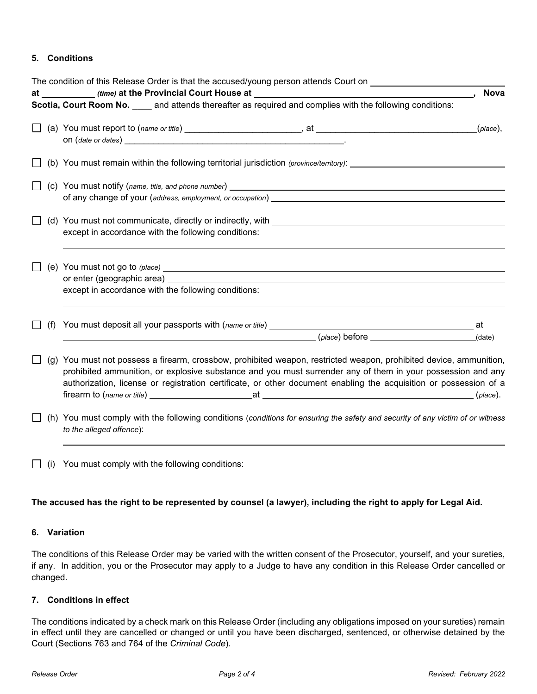# **5. Conditions**

|     | The condition of this Release Order is that the accused/young person attends Court on ______________                                                                                                                                                                                                                                                   |  |  |  |
|-----|--------------------------------------------------------------------------------------------------------------------------------------------------------------------------------------------------------------------------------------------------------------------------------------------------------------------------------------------------------|--|--|--|
|     | <b>Nova</b>                                                                                                                                                                                                                                                                                                                                            |  |  |  |
|     | Scotia, Court Room No. ____ and attends thereafter as required and complies with the following conditions:                                                                                                                                                                                                                                             |  |  |  |
|     | $(\rho$ lace $),$                                                                                                                                                                                                                                                                                                                                      |  |  |  |
|     | (b) You must remain within the following territorial jurisdiction (province/territory): ______________________                                                                                                                                                                                                                                         |  |  |  |
|     |                                                                                                                                                                                                                                                                                                                                                        |  |  |  |
|     | (d) You must not communicate, directly or indirectly, with example and an example of the state of the state of<br>except in accordance with the following conditions:                                                                                                                                                                                  |  |  |  |
|     | except in accordance with the following conditions:                                                                                                                                                                                                                                                                                                    |  |  |  |
| (f) | $(\text{place}) \text{ before }$ (ate)                                                                                                                                                                                                                                                                                                                 |  |  |  |
|     | (g) You must not possess a firearm, crossbow, prohibited weapon, restricted weapon, prohibited device, ammunition,<br>prohibited ammunition, or explosive substance and you must surrender any of them in your possession and any<br>authorization, license or registration certificate, or other document enabling the acquisition or possession of a |  |  |  |
|     | (h) You must comply with the following conditions (conditions for ensuring the safety and security of any victim of or witness<br>to the alleged offence):                                                                                                                                                                                             |  |  |  |
| (i) | You must comply with the following conditions:                                                                                                                                                                                                                                                                                                         |  |  |  |

## **The accused has the right to be represented by counsel (a lawyer), including the right to apply for Legal Aid.**

## **6. Variation**

The conditions of this Release Order may be varied with the written consent of the Prosecutor, yourself, and your sureties, if any. In addition, you or the Prosecutor may apply to a Judge to have any condition in this Release Order cancelled or changed.

## **7. Conditions in effect**

The conditions indicated by a check mark on this Release Order (including any obligations imposed on your sureties) remain in effect until they are cancelled or changed or until you have been discharged, sentenced, or otherwise detained by the Court (Sections 763 and 764 of the *Criminal Code*).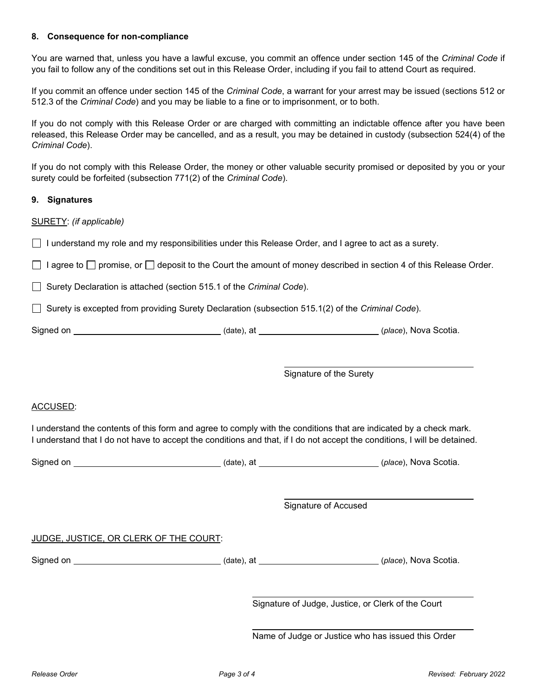#### **8. Consequence for non-compliance**

You are warned that, unless you have a lawful excuse, you commit an offence under section 145 of the *Criminal Code* if you fail to follow any of the conditions set out in this Release Order, including if you fail to attend Court as required.

If you commit an offence under section 145 of the *Criminal Code*, a warrant for your arrest may be issued (sections 512 or 512.3 of the *Criminal Code*) and you may be liable to a fine or to imprisonment, or to both.

If you do not comply with this Release Order or are charged with committing an indictable offence after you have been released, this Release Order may be cancelled, and as a result, you may be detained in custody (subsection 524(4) of the *Criminal Code*).

If you do not comply with this Release Order, the money or other valuable security promised or deposited by you or your surety could be forfeited (subsection 771(2) of the *Criminal Code*).

#### **9. Signatures**

#### SURETY: *(if applicable)*

I understand my role and my responsibilities under this Release Order, and I agree to act as a surety.

 $\Box$  I agree to  $\Box$  promise, or  $\Box$  deposit to the Court the amount of money described in section 4 of this Release Order.

Surety Declaration is attached (section 515.1 of the *Criminal Code*).

Surety is excepted from providing Surety Declaration (subsection 515.1(2) of the *Criminal Code*).

| Signed on | (date). at | <i>(place)</i> , Nova Scotia. |
|-----------|------------|-------------------------------|
|-----------|------------|-------------------------------|

Signature of the Surety

#### ACCUSED:

I understand the contents of this form and agree to comply with the conditions that are indicated by a check mark. I understand that I do not have to accept the conditions and that, if I do not accept the conditions, I will be detained.

| Signed on | (date), at | (place), Nova Scotia. |
|-----------|------------|-----------------------|
|           |            |                       |

Signature of Accused

#### JUDGE, JUSTICE, OR CLERK OF THE COURT:

Signed on *\_\_\_\_\_\_\_\_\_\_\_\_\_\_\_\_\_\_\_\_\_\_\_\_\_\_\_\_\_\_\_\_\_\_* (date), at **\_\_\_\_\_\_\_\_\_\_\_\_\_\_\_\_\_\_\_\_\_\_\_\_\_\_** (place), Nova Scotia.

Signature of Judge, Justice, or Clerk of the Court

Name of Judge or Justice who has issued this Order